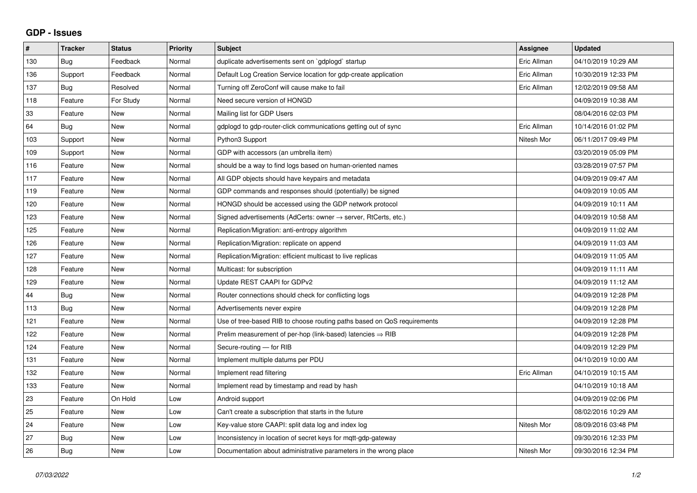## **GDP - Issues**

| $\pmb{\#}$ | <b>Tracker</b> | <b>Status</b> | <b>Priority</b> | <b>Subject</b>                                                             | <b>Assignee</b> | <b>Updated</b>      |
|------------|----------------|---------------|-----------------|----------------------------------------------------------------------------|-----------------|---------------------|
| 130        | Bug            | Feedback      | Normal          | duplicate advertisements sent on `gdplogd` startup                         | Eric Allman     | 04/10/2019 10:29 AM |
| 136        | Support        | Feedback      | Normal          | Default Log Creation Service location for gdp-create application           | Eric Allman     | 10/30/2019 12:33 PM |
| 137        | <b>Bug</b>     | Resolved      | Normal          | Turning off ZeroConf will cause make to fail                               | Eric Allman     | 12/02/2019 09:58 AM |
| 118        | Feature        | For Study     | Normal          | Need secure version of HONGD                                               |                 | 04/09/2019 10:38 AM |
| 33         | Feature        | New           | Normal          | Mailing list for GDP Users                                                 |                 | 08/04/2016 02:03 PM |
| 64         | Bug            | New           | Normal          | gdplogd to gdp-router-click communications getting out of sync             | Eric Allman     | 10/14/2016 01:02 PM |
| 103        | Support        | <b>New</b>    | Normal          | Python3 Support                                                            | Nitesh Mor      | 06/11/2017 09:49 PM |
| 109        | Support        | <b>New</b>    | Normal          | GDP with accessors (an umbrella item)                                      |                 | 03/20/2019 05:09 PM |
| 116        | Feature        | <b>New</b>    | Normal          | should be a way to find logs based on human-oriented names                 |                 | 03/28/2019 07:57 PM |
| 117        | Feature        | <b>New</b>    | Normal          | All GDP objects should have keypairs and metadata                          |                 | 04/09/2019 09:47 AM |
| 119        | Feature        | <b>New</b>    | Normal          | GDP commands and responses should (potentially) be signed                  |                 | 04/09/2019 10:05 AM |
| 120        | Feature        | New           | Normal          | HONGD should be accessed using the GDP network protocol                    |                 | 04/09/2019 10:11 AM |
| 123        | Feature        | <b>New</b>    | Normal          | Signed advertisements (AdCerts: owner $\rightarrow$ server, RtCerts, etc.) |                 | 04/09/2019 10:58 AM |
| 125        | Feature        | <b>New</b>    | Normal          | Replication/Migration: anti-entropy algorithm                              |                 | 04/09/2019 11:02 AM |
| 126        | Feature        | <b>New</b>    | Normal          | Replication/Migration: replicate on append                                 |                 | 04/09/2019 11:03 AM |
| 127        | Feature        | <b>New</b>    | Normal          | Replication/Migration: efficient multicast to live replicas                |                 | 04/09/2019 11:05 AM |
| 128        | Feature        | <b>New</b>    | Normal          | Multicast: for subscription                                                |                 | 04/09/2019 11:11 AM |
| 129        | Feature        | New           | Normal          | Update REST CAAPI for GDPv2                                                |                 | 04/09/2019 11:12 AM |
| 44         | Bug            | <b>New</b>    | Normal          | Router connections should check for conflicting logs                       |                 | 04/09/2019 12:28 PM |
| 113        | Bug            | <b>New</b>    | Normal          | Advertisements never expire                                                |                 | 04/09/2019 12:28 PM |
| 121        | Feature        | New           | Normal          | Use of tree-based RIB to choose routing paths based on QoS requirements    |                 | 04/09/2019 12:28 PM |
| 122        | Feature        | <b>New</b>    | Normal          | Prelim measurement of per-hop (link-based) latencies $\Rightarrow$ RIB     |                 | 04/09/2019 12:28 PM |
| 124        | Feature        | <b>New</b>    | Normal          | Secure-routing - for RIB                                                   |                 | 04/09/2019 12:29 PM |
| 131        | Feature        | New           | Normal          | Implement multiple datums per PDU                                          |                 | 04/10/2019 10:00 AM |
| 132        | Feature        | <b>New</b>    | Normal          | Implement read filtering                                                   | Eric Allman     | 04/10/2019 10:15 AM |
| 133        | Feature        | <b>New</b>    | Normal          | Implement read by timestamp and read by hash                               |                 | 04/10/2019 10:18 AM |
| 23         | Feature        | On Hold       | Low             | Android support                                                            |                 | 04/09/2019 02:06 PM |
| 25         | Feature        | <b>New</b>    | Low             | Can't create a subscription that starts in the future                      |                 | 08/02/2016 10:29 AM |
| 24         | Feature        | New           | Low             | Key-value store CAAPI: split data log and index log                        | Nitesh Mor      | 08/09/2016 03:48 PM |
| 27         | Bug            | New           | Low             | Inconsistency in location of secret keys for mgtt-gdp-gateway              |                 | 09/30/2016 12:33 PM |
| 26         | Bug            | <b>New</b>    | Low             | Documentation about administrative parameters in the wrong place           | Nitesh Mor      | 09/30/2016 12:34 PM |